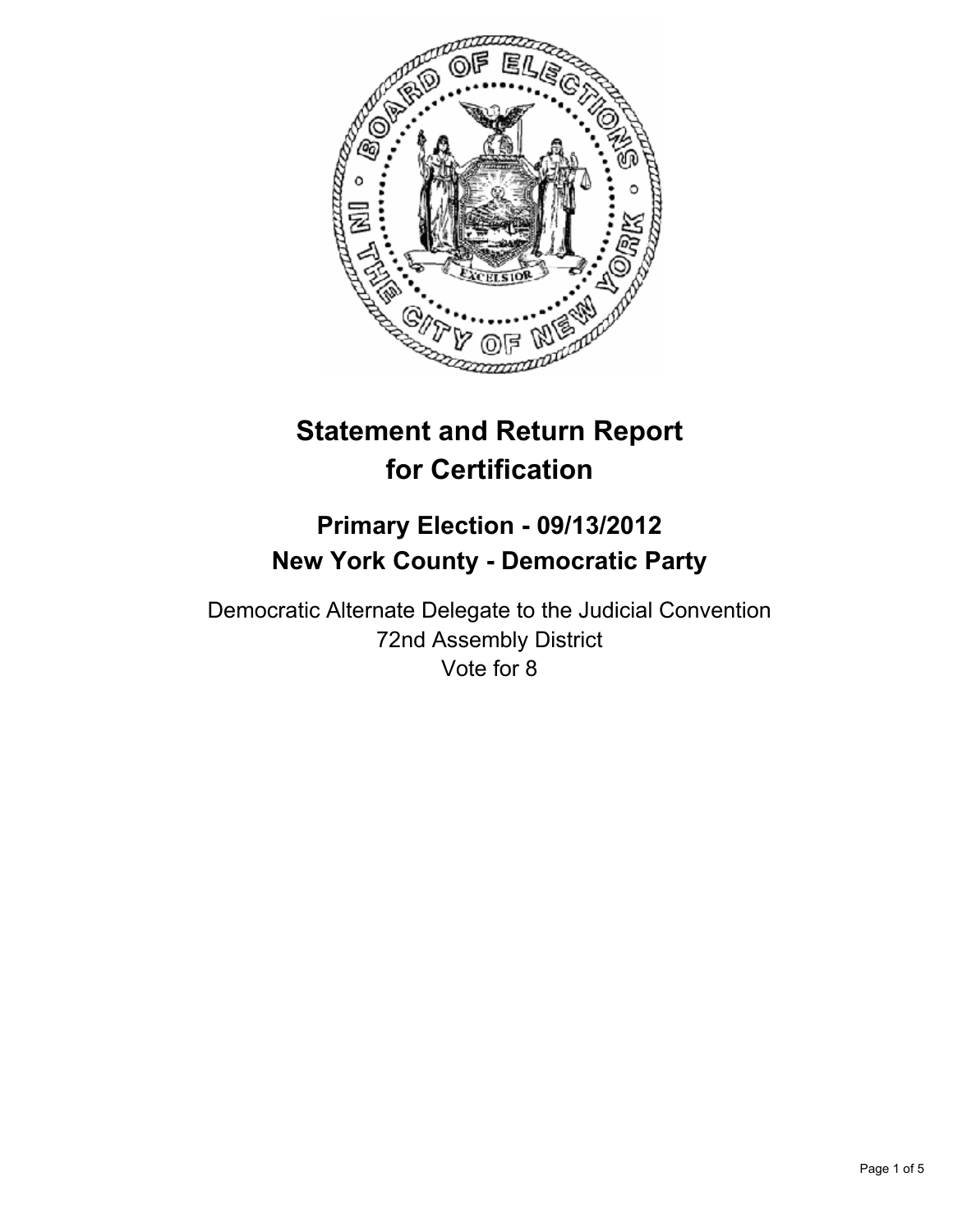

# **Statement and Return Report for Certification**

# **Primary Election - 09/13/2012 New York County - Democratic Party**

Democratic Alternate Delegate to the Judicial Convention 72nd Assembly District Vote for 8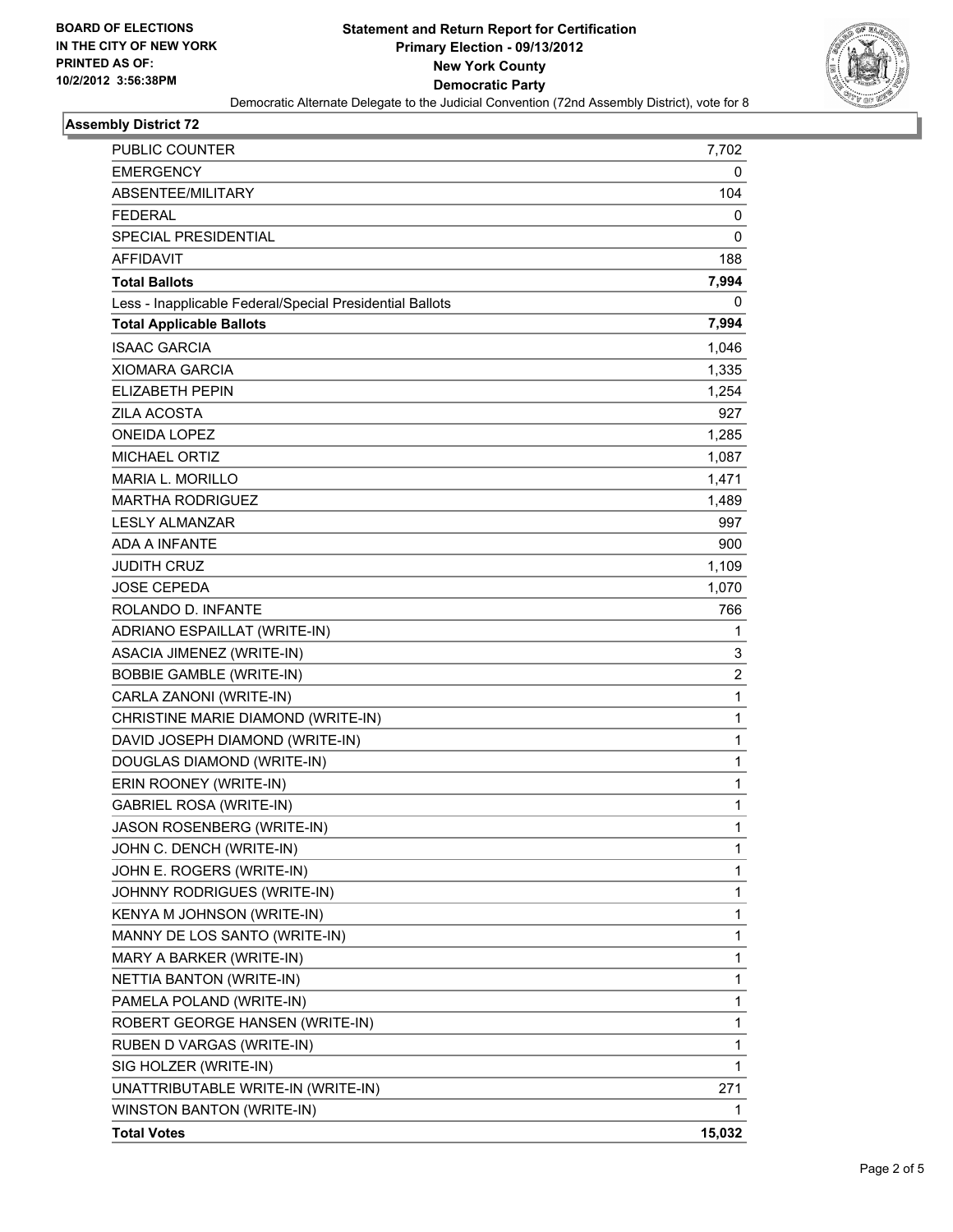

#### **Assembly District 72**

| PUBLIC COUNTER                                           | 7,702  |
|----------------------------------------------------------|--------|
| <b>EMERGENCY</b>                                         | 0      |
| ABSENTEE/MILITARY                                        | 104    |
| <b>FEDERAL</b>                                           | 0      |
| SPECIAL PRESIDENTIAL                                     | 0      |
| <b>AFFIDAVIT</b>                                         | 188    |
| <b>Total Ballots</b>                                     | 7,994  |
| Less - Inapplicable Federal/Special Presidential Ballots | 0      |
| <b>Total Applicable Ballots</b>                          | 7,994  |
| <b>ISAAC GARCIA</b>                                      | 1,046  |
| XIOMARA GARCIA                                           | 1,335  |
| <b>ELIZABETH PEPIN</b>                                   | 1,254  |
| <b>ZILA ACOSTA</b>                                       | 927    |
| <b>ONEIDA LOPEZ</b>                                      | 1,285  |
| <b>MICHAEL ORTIZ</b>                                     | 1,087  |
| <b>MARIA L. MORILLO</b>                                  | 1,471  |
| <b>MARTHA RODRIGUEZ</b>                                  | 1,489  |
| <b>LESLY ALMANZAR</b>                                    | 997    |
| ADA A INFANTE                                            | 900    |
| JUDITH CRUZ                                              | 1,109  |
| <b>JOSE CEPEDA</b>                                       | 1,070  |
| ROLANDO D. INFANTE                                       | 766    |
| ADRIANO ESPAILLAT (WRITE-IN)                             | 1      |
| ASACIA JIMENEZ (WRITE-IN)                                | 3      |
| <b>BOBBIE GAMBLE (WRITE-IN)</b>                          | 2      |
| CARLA ZANONI (WRITE-IN)                                  | 1      |
| CHRISTINE MARIE DIAMOND (WRITE-IN)                       | 1      |
| DAVID JOSEPH DIAMOND (WRITE-IN)                          | 1      |
| DOUGLAS DIAMOND (WRITE-IN)                               | 1      |
| ERIN ROONEY (WRITE-IN)                                   | 1      |
| <b>GABRIEL ROSA (WRITE-IN)</b>                           | 1      |
| JASON ROSENBERG (WRITE-IN)                               | 1      |
| JOHN C. DENCH (WRITE-IN)                                 | 1      |
| JOHN E. ROGERS (WRITE-IN)                                | 1      |
| JOHNNY RODRIGUES (WRITE-IN)                              | 1      |
| KENYA M JOHNSON (WRITE-IN)                               | 1      |
| MANNY DE LOS SANTO (WRITE-IN)                            | 1      |
| MARY A BARKER (WRITE-IN)                                 | 1      |
| NETTIA BANTON (WRITE-IN)                                 | 1      |
| PAMELA POLAND (WRITE-IN)                                 | 1      |
| ROBERT GEORGE HANSEN (WRITE-IN)                          | 1      |
| RUBEN D VARGAS (WRITE-IN)                                | 1      |
| SIG HOLZER (WRITE-IN)                                    | 1      |
| UNATTRIBUTABLE WRITE-IN (WRITE-IN)                       | 271    |
| WINSTON BANTON (WRITE-IN)                                | 1      |
| <b>Total Votes</b>                                       | 15,032 |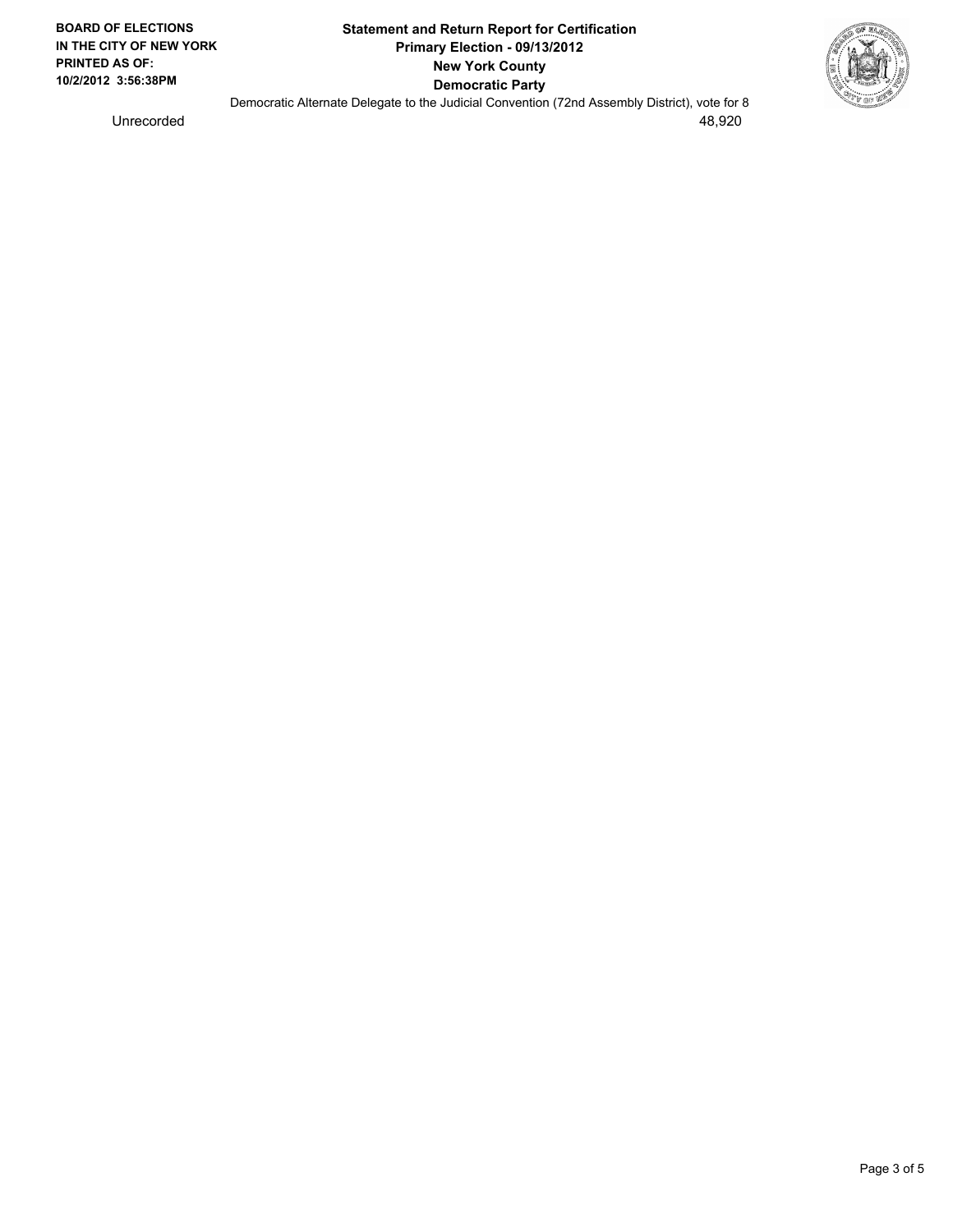

Democratic Alternate Delegate to the Judicial Convention (72nd Assembly District), vote for 8 Unrecorded 48,920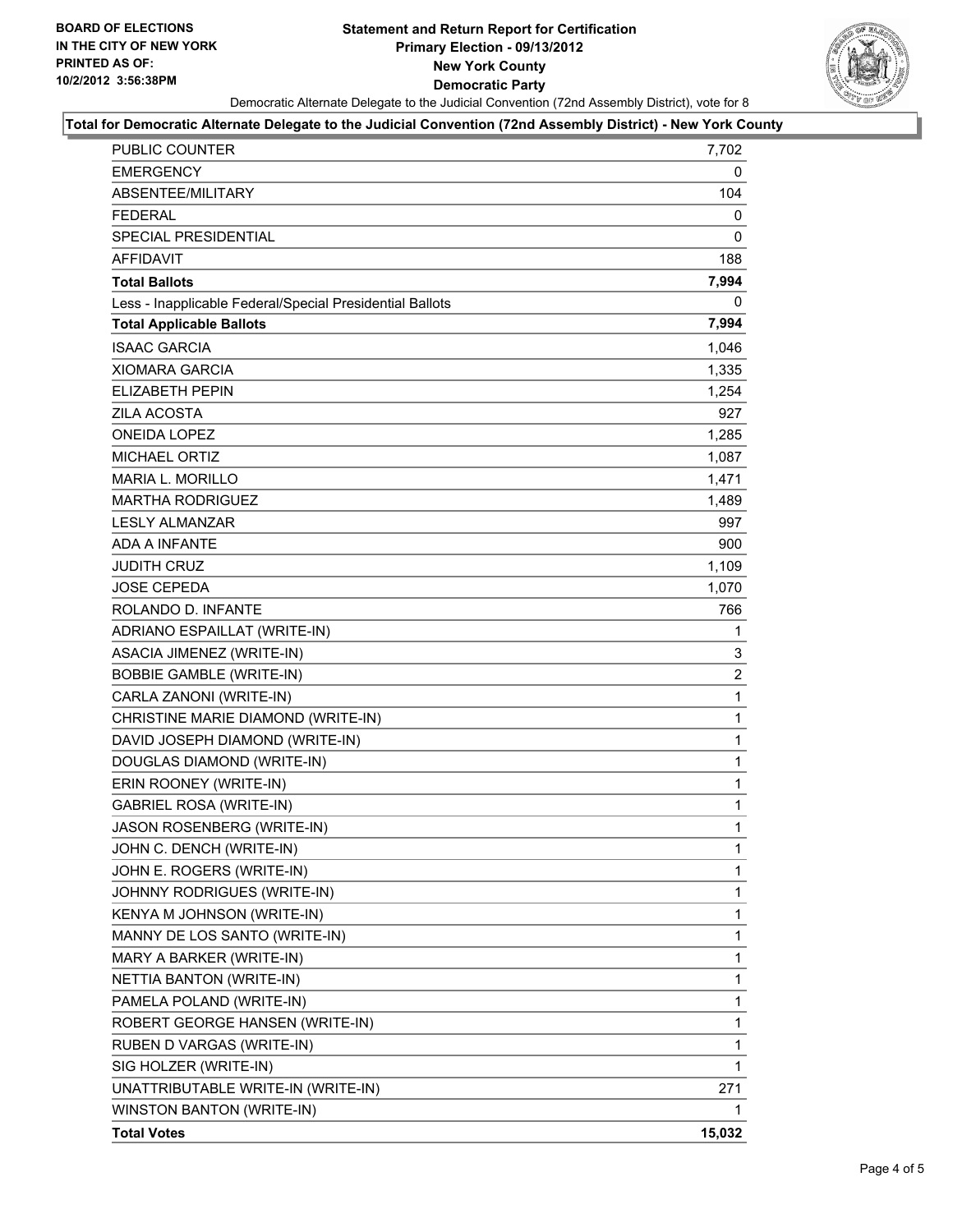## **Statement and Return Report for Certification Primary Election - 09/13/2012 New York County Democratic Party** Democratic Alternate Delegate to the Judicial Convention (72nd Assembly District), vote for 8



#### **Total for Democratic Alternate Delegate to the Judicial Convention (72nd Assembly District) - New York County**

| <b>PUBLIC COUNTER</b>                                    | 7,702        |
|----------------------------------------------------------|--------------|
| <b>EMERGENCY</b>                                         | 0            |
| ABSENTEE/MILITARY                                        | 104          |
| <b>FEDERAL</b>                                           | 0            |
| SPECIAL PRESIDENTIAL                                     | 0            |
| AFFIDAVIT                                                | 188          |
| <b>Total Ballots</b>                                     | 7,994        |
| Less - Inapplicable Federal/Special Presidential Ballots | 0            |
| <b>Total Applicable Ballots</b>                          | 7,994        |
| <b>ISAAC GARCIA</b>                                      | 1,046        |
| XIOMARA GARCIA                                           | 1,335        |
| <b>ELIZABETH PEPIN</b>                                   | 1,254        |
| <b>ZILA ACOSTA</b>                                       | 927          |
| <b>ONEIDA LOPEZ</b>                                      | 1,285        |
| MICHAEL ORTIZ                                            | 1,087        |
| <b>MARIA L. MORILLO</b>                                  | 1,471        |
| <b>MARTHA RODRIGUEZ</b>                                  | 1,489        |
| <b>LESLY ALMANZAR</b>                                    | 997          |
| ADA A INFANTE                                            | 900          |
| <b>JUDITH CRUZ</b>                                       | 1,109        |
| <b>JOSE CEPEDA</b>                                       | 1,070        |
| ROLANDO D. INFANTE                                       | 766          |
| ADRIANO ESPAILLAT (WRITE-IN)                             | 1            |
| ASACIA JIMENEZ (WRITE-IN)                                | 3            |
| <b>BOBBIE GAMBLE (WRITE-IN)</b>                          | 2            |
| CARLA ZANONI (WRITE-IN)                                  | $\mathbf{1}$ |
| CHRISTINE MARIE DIAMOND (WRITE-IN)                       | 1            |
| DAVID JOSEPH DIAMOND (WRITE-IN)                          | $\mathbf{1}$ |
| DOUGLAS DIAMOND (WRITE-IN)                               | 1            |
| ERIN ROONEY (WRITE-IN)                                   | 1            |
| <b>GABRIEL ROSA (WRITE-IN)</b>                           | $\mathbf{1}$ |
| JASON ROSENBERG (WRITE-IN)                               | 1            |
| JOHN C. DENCH (WRITE-IN)                                 | 1            |
| JOHN E. ROGERS (WRITE-IN)                                | 1            |
| JOHNNY RODRIGUES (WRITE-IN)                              | 1            |
| KENYA M JOHNSON (WRITE-IN)                               | 1            |
| MANNY DE LOS SANTO (WRITE-IN)                            | 1            |
| MARY A BARKER (WRITE-IN)                                 | 1            |
| NETTIA BANTON (WRITE-IN)                                 | 1            |
| PAMELA POLAND (WRITE-IN)                                 | 1            |
| ROBERT GEORGE HANSEN (WRITE-IN)                          | 1            |
| RUBEN D VARGAS (WRITE-IN)                                | 1            |
| SIG HOLZER (WRITE-IN)                                    | 1            |
| UNATTRIBUTABLE WRITE-IN (WRITE-IN)                       | 271          |
| WINSTON BANTON (WRITE-IN)                                | 1            |
| <b>Total Votes</b>                                       | 15,032       |
|                                                          |              |